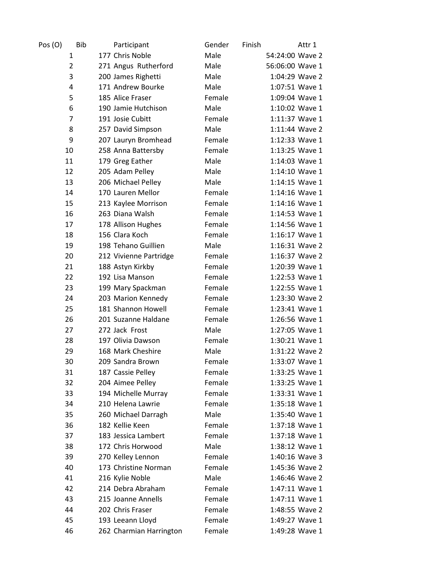| Pos (O)        | <b>Bib</b><br>Participant | Gender | Finish | Attr 1          |
|----------------|---------------------------|--------|--------|-----------------|
| 1              | 177 Chris Noble           | Male   |        | 54:24:00 Wave 2 |
| $\overline{2}$ | 271 Angus Rutherford      | Male   |        | 56:06:00 Wave 1 |
| 3              | 200 James Righetti        | Male   |        | 1:04:29 Wave 2  |
| 4              | 171 Andrew Bourke         | Male   |        | 1:07:51 Wave 1  |
| 5              | 185 Alice Fraser          | Female |        | 1:09:04 Wave 1  |
| 6              | 190 Jamie Hutchison       | Male   |        | 1:10:02 Wave 1  |
| 7              | 191 Josie Cubitt          | Female |        | 1:11:37 Wave 1  |
| 8              | 257 David Simpson         | Male   |        | 1:11:44 Wave 2  |
| 9              | 207 Lauryn Bromhead       | Female |        | 1:12:33 Wave 1  |
| 10             | 258 Anna Battersby        | Female |        | 1:13:25 Wave 1  |
| 11             | 179 Greg Eather           | Male   |        | 1:14:03 Wave 1  |
| 12             | 205 Adam Pelley           | Male   |        | 1:14:10 Wave 1  |
| 13             | 206 Michael Pelley        | Male   |        | 1:14:15 Wave 1  |
| 14             | 170 Lauren Mellor         | Female |        | 1:14:16 Wave 1  |
| 15             | 213 Kaylee Morrison       | Female |        | 1:14:16 Wave 1  |
| 16             | 263 Diana Walsh           | Female |        | 1:14:53 Wave 1  |
| 17             | 178 Allison Hughes        | Female |        | 1:14:56 Wave 1  |
| 18             | 156 Clara Koch            | Female |        | 1:16:17 Wave 1  |
| 19             | 198 Tehano Guillien       | Male   |        | 1:16:31 Wave 2  |
| 20             | 212 Vivienne Partridge    | Female |        | 1:16:37 Wave 2  |
| 21             | 188 Astyn Kirkby          | Female |        | 1:20:39 Wave 1  |
| 22             | 192 Lisa Manson           | Female |        | 1:22:53 Wave 1  |
| 23             | 199 Mary Spackman         | Female |        | 1:22:55 Wave 1  |
| 24             | 203 Marion Kennedy        | Female |        | 1:23:30 Wave 2  |
| 25             | 181 Shannon Howell        | Female |        | 1:23:41 Wave 1  |
| 26             | 201 Suzanne Haldane       | Female |        | 1:26:56 Wave 1  |
| 27             | 272 Jack Frost            | Male   |        | 1:27:05 Wave 1  |
| 28             | 197 Olivia Dawson         | Female |        | 1:30:21 Wave 1  |
| 29             | 168 Mark Cheshire         | Male   |        | 1:31:22 Wave 2  |
| 30             | 209 Sandra Brown          | Female |        | 1:33:07 Wave 1  |
| 31             | 187 Cassie Pelley         | Female |        | 1:33:25 Wave 1  |
| 32             | 204 Aimee Pelley          | Female |        | 1:33:25 Wave 1  |
| 33             | 194 Michelle Murray       | Female |        | 1:33:31 Wave 1  |
| 34             | 210 Helena Lawrie         | Female |        | 1:35:18 Wave 1  |
| 35             | 260 Michael Darragh       | Male   |        | 1:35:40 Wave 1  |
| 36             | 182 Kellie Keen           | Female |        | 1:37:18 Wave 1  |
| 37             | 183 Jessica Lambert       | Female |        | 1:37:18 Wave 1  |
| 38             | 172 Chris Horwood         | Male   |        | 1:38:12 Wave 1  |
| 39             | 270 Kelley Lennon         | Female |        | 1:40:16 Wave 3  |
| 40             | 173 Christine Norman      | Female |        | 1:45:36 Wave 2  |
| 41             | 216 Kylie Noble           | Male   |        | 1:46:46 Wave 2  |
| 42             | 214 Debra Abraham         | Female |        | 1:47:11 Wave 1  |
| 43             | 215 Joanne Annells        | Female |        | 1:47:11 Wave 1  |
| 44             | 202 Chris Fraser          | Female |        | 1:48:55 Wave 2  |
| 45             | 193 Leeann Lloyd          | Female |        | 1:49:27 Wave 1  |
| 46             | 262 Charmian Harrington   | Female |        | 1:49:28 Wave 1  |